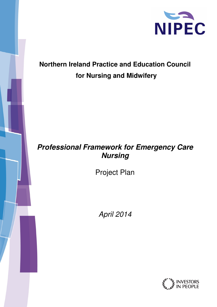

# **Northern Ireland Practice and Education Council for Nursing and Midwifery**

## **Professional Framework for Emergency Care Nursing**

Project Plan

April 2014

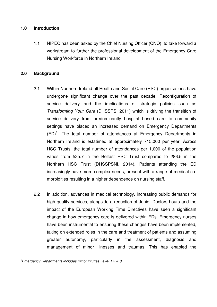#### **1.0 Introduction**

1.1 NIPEC has been asked by the Chief Nursing Officer (CNO) to take forward a workstream to further the professional development of the Emergency Care Nursing Workforce in Northern Ireland

#### **2.0 Background**

- 2.1 Within Northern Ireland all Health and Social Care (HSC) organisations have undergone significant change over the past decade. Reconfiguration of service delivery and the implications of strategic policies such as Transforming Your Care (DHSSPS, 2011) which is driving the transition of service delivery from predominantly hospital based care to community settings have placed an increased demand on Emergency Departments  $(ED)^1$ . The total number of attendances at Emergency Departments in Northern Ireland is estatimed at approximately 715,000 per year. Across HSC Trusts, the total number of attendances per 1,000 of the population varies from 525.7 in the Belfast HSC Trust compared to 286.5 in the Northern HSC Trust (DHSSPSNI, 2014). Patients attending the ED increasingly have more complex needs, present with a range of medical comorbidities resulting in a higher dependence on nursing staff.
- 2.2 In addition, advances in medical technology, increasing public demands for high quality services, alongside a reduction of Junior Doctors hours and the impact of the European Working Time Directives have seen a significant change in how emergency care is delivered within EDs. Emergency nurses have been instrumental to ensuring these changes have been implemented, taking on extended roles in the care and treatment of patients and assuming greater autonomy, particularly in the assessment, diagnosis and management of minor illnesses and traumas. This has enabled the

 $\overline{a}$ 

<sup>&</sup>lt;sup>1</sup> Emergency Departments includes minor injuries Level 1 2 & 3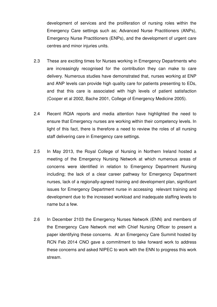development of services and the proliferation of nursing roles within the Emergency Care settings such as; Advanced Nurse Practitioners (ANPs), Emergency Nurse Practitioners (ENPs), and the development of urgent care centres and minor injuries units.

- 2.3 These are exciting times for Nurses working in Emergency Departments who are increasingly recognised for the contribution they can make to care delivery. Numerous studies have demonstrated that, nurses working at ENP and ANP levels can provide high quality care for patients presenting to EDs, and that this care is associated with high levels of patient satisfaction (Cooper et al 2002, Bache 2001, College of Emergency Medicine 2005).
- 2.4 Recent RQIA reports and media attention have highlighted the need to ensure that Emergency nurses are working within their competency levels. In light of this fact, there is therefore a need to review the roles of all nursing staff delivering care in Emergency care settings.
- 2.5 In May 2013, the Royal College of Nursing in Northern Ireland hosted a meeting of the Emergency Nursing Network at which numerous areas of concerns were identified in relation to Emergency Department Nursing including; the lack of a clear career pathway for Emergency Department nurses, lack of a regionally-agreed training and development plan, significant issues for Emergency Department nurse in accessing relevant training and development due to the increased workload and inadequate staffing levels to name but a few.
- 2.6 In December 2103 the Emergency Nurses Network (ENN) and members of the Emergency Care Network met with Chief Nursing Officer to present a paper identifying these concerns. At an Emergency Care Summit hosted by RCN Feb 2014 CNO gave a commitment to take forward work to address these concerns and asked NIPEC to work with the ENN to progress this work stream.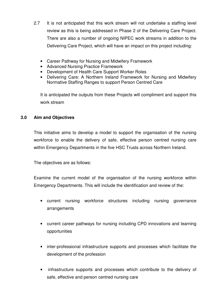- 2.7 It is not anticipated that this work stream will not undertake a staffing level review as this is being addressed in Phase 2 of the Delivering Care Project. There are also a number of ongoing NIPEC work streams in addition to the Delivering Care Project, which will have an impact on this project including:
	- Career Pathway for Nursing and Midwifery Framework
	- Advanced Nursing Practice Framework
	- Development of Health Care Support Worker Roles
	- Delivering Care: A Northern Ireland Framework for Nursing and Midwifery Normative Staffing Ranges to support Person Centred Care

It is anticipated the outputs from these Projects will compliment and support this work stream

#### **3.0 Aim and Objectives**

This initiative aims to develop a model to support the organisation of the nursing workforce to enable the delivery of safe, effective person centred nursing care within Emergency Departments in the five HSC Trusts across Northern Ireland.

The objectives are as follows:

Examine the current model of the organisation of the nursing workforce within Emergency Departments. This will include the identification and review of the:

- current nursing workforce structures including nursing governance arrangements
- current career pathways for nursing including CPD innovations and learning opportunities
- inter-professional infrastructure supports and processes which facilitate the development of the profession
- infrastructure supports and processes which contribute to the delivery of safe, effective and person centred nursing care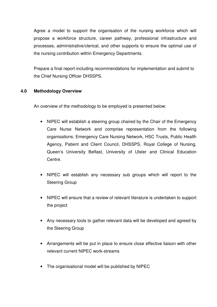Agree a model to support the organisation of the nursing workforce which will propose a workforce structure, career pathway, professional infrastructure and processes, administrative/clerical, and other supports to ensure the optimal use of the nursing contribution within Emergency Departments.

Prepare a final report including recommendations for implementation and submit to the Chief Nursing Officer DHSSPS.

#### **4.0 Methodology Overview**

An overview of the methodology to be employed is presented below:

- NIPEC will establish a steering group chaired by the Chair of the Emergency Care Nurse Network and comprise representation from the following organisations: Emergency Care Nursing Network, HSC Trusts, Public Health Agency, Patient and Client Council, DHSSPS, Royal College of Nursing, Queen's University Belfast, University of Ulster and Clinical Education Centre.
- NIPEC will establish any necessary sub groups which will report to the Steering Group
- NIPEC will ensure that a review of relevant literature is undertaken to support the project
- Any necessary tools to gather relevant data will be developed and agreed by the Steering Group
- Arrangements will be put in place to ensure close effective liaison with other relevant current NIPEC work-streams
- The organisational model will be published by NIPEC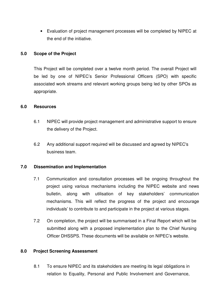• Evaluation of project management processes will be completed by NIPEC at the end of the initiative.

#### **5.0 Scope of the Project**

This Project will be completed over a twelve month period. The overall Project will be led by one of NIPEC's Senior Professional Officers (SPO) with specific associated work streams and relevant working groups being led by other SPOs as appropriate.

#### **6.0 Resources**

- 6.1 NIPEC will provide project management and administrative support to ensure the delivery of the Project.
- 6.2 Any additional support required will be discussed and agreed by NIPEC's business team.

#### **7.0 Dissemination and Implementation**

- 7.1 Communication and consultation processes will be ongoing throughout the project using various mechanisms including the NIPEC website and news bulletin, along with utilisation of key stakeholders' communication mechanisms. This will reflect the progress of the project and encourage individuals' to contribute to and participate in the project at various stages.
- 7.2 On completion, the project will be summarised in a Final Report which will be submitted along with a proposed implementation plan to the Chief Nursing Officer DHSSPS. These documents will be available on NIPEC's website.

#### **8.0 Project Screening Assessment**

 8.1 To ensure NIPEC and its stakeholders are meeting its legal obligations in relation to Equality, Personal and Public Involvement and Governance,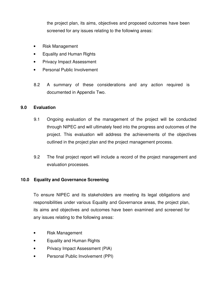the project plan, its aims, objectives and proposed outcomes have been screened for any issues relating to the following areas:

- Risk Management
- Equality and Human Rights
- Privacy Impact Assessment
- Personal Public Involvement
- 8.2 A summary of these considerations and any action required is documented in Appendix Two.

#### **9.0 Evaluation**

- 9.1 Ongoing evaluation of the management of the project will be conducted through NIPEC and will ultimately feed into the progress and outcomes of the project. This evaluation will address the achievements of the objectives outlined in the project plan and the project management process.
- 9.2 The final project report will include a record of the project management and evaluation processes.

#### **10.0 Equality and Governance Screening**

To ensure NIPEC and its stakeholders are meeting its legal obligations and responsibilities under various Equality and Governance areas, the project plan, its aims and objectives and outcomes have been examined and screened for any issues relating to the following areas:

- Risk Management
- Equality and Human Rights
- Privacy Impact Assessment (PIA)
- Personal Public Involvement (PPI)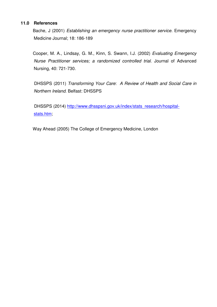#### **11.0 References**

 Bache, J (2001) Establishing an emergency nurse practitioner service. Emergency Medicine Journal; 18: 186-189

 Cooper, M. A., Lindsay, G. M., Kinn, S. Swann, I.J. (2002) Evaluating Emergency Nurse Practitioner services; a randomized controlled trial. Journal of Advanced Nursing, 40: 721-730.

 DHSSPS (2011) Transforming Your Care: A Review of Health and Social Care in Northern Ireland. Belfast: DHSSPS

DHSSPS (2014) http://www.dhsspsni.gov.uk/index/stats\_research/hospitalstats.htm;

Way Ahead (2005) The College of Emergency Medicine, London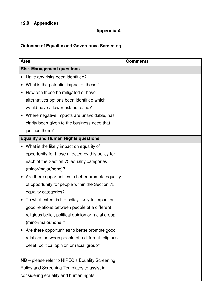## **Appendix A**

## **Outcome of Equality and Governance Screening**

| <b>Area</b>                      |                                                        | <b>Comments</b> |  |  |
|----------------------------------|--------------------------------------------------------|-----------------|--|--|
| <b>Risk Management questions</b> |                                                        |                 |  |  |
|                                  | Have any risks been identified?                        |                 |  |  |
|                                  | What is the potential impact of these?                 |                 |  |  |
|                                  | How can these be mitigated or have                     |                 |  |  |
|                                  | alternatives options been identified which             |                 |  |  |
|                                  | would have a lower risk outcome?                       |                 |  |  |
|                                  | Where negative impacts are unavoidable, has            |                 |  |  |
|                                  | clarity been given to the business need that           |                 |  |  |
|                                  | justifies them?                                        |                 |  |  |
|                                  | <b>Equality and Human Rights questions</b>             |                 |  |  |
|                                  | What is the likely impact on equality of               |                 |  |  |
|                                  | opportunity for those affected by this policy for      |                 |  |  |
|                                  | each of the Section 75 equality categories             |                 |  |  |
|                                  | (minor/major/none)?                                    |                 |  |  |
|                                  | Are there opportunities to better promote equality     |                 |  |  |
|                                  | of opportunity for people within the Section 75        |                 |  |  |
|                                  | equality categories?                                   |                 |  |  |
|                                  | To what extent is the policy likely to impact on       |                 |  |  |
|                                  | good relations between people of a different           |                 |  |  |
|                                  | religious belief, political opinion or racial group    |                 |  |  |
|                                  | (minor/major/none)?                                    |                 |  |  |
|                                  | Are there opportunities to better promote good         |                 |  |  |
|                                  | relations between people of a different religious      |                 |  |  |
|                                  | belief, political opinion or racial group?             |                 |  |  |
|                                  |                                                        |                 |  |  |
|                                  | <b>NB</b> – please refer to NIPEC's Equality Screening |                 |  |  |
|                                  | Policy and Screening Templates to assist in            |                 |  |  |
|                                  | considering equality and human rights                  |                 |  |  |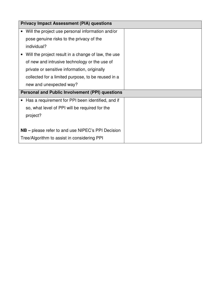|                                                        | <b>Privacy Impact Assessment (PIA) questions</b>         |  |  |  |
|--------------------------------------------------------|----------------------------------------------------------|--|--|--|
|                                                        | Will the project use personal information and/or         |  |  |  |
|                                                        | pose genuine risks to the privacy of the                 |  |  |  |
|                                                        | individual?                                              |  |  |  |
|                                                        | Will the project result in a change of law, the use      |  |  |  |
|                                                        | of new and intrusive technology or the use of            |  |  |  |
|                                                        | private or sensitive information, originally             |  |  |  |
|                                                        | collected for a limited purpose, to be reused in a       |  |  |  |
|                                                        | new and unexpected way?                                  |  |  |  |
| <b>Personal and Public Involvement (PPI) questions</b> |                                                          |  |  |  |
|                                                        | Has a requirement for PPI been identified, and if        |  |  |  |
|                                                        | so, what level of PPI will be required for the           |  |  |  |
|                                                        | project?                                                 |  |  |  |
|                                                        |                                                          |  |  |  |
|                                                        | <b>NB</b> – please refer to and use NIPEC's PPI Decision |  |  |  |
|                                                        | Tree/Algorithm to assist in considering PPI              |  |  |  |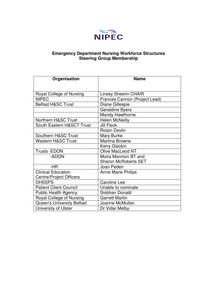

#### **Emergency Department Nursing Workforce Structures Steering Group Membership**

| Organisation                      | <b>Name</b>                   |
|-----------------------------------|-------------------------------|
|                                   |                               |
| Royal College of Nursing          | <b>Linsey Sheerin CHAIR</b>   |
| <b>NIPEC</b>                      | Frances Cannon (Project Lead) |
| <b>Belfast H&amp;SC Trust</b>     | Diane Gillespie               |
|                                   | <b>Geraldine Byers</b>        |
|                                   | <b>Mandy Hawthorne</b>        |
| Northern H&SC Trust               | <b>Helen McNeilly</b>         |
| South Eastern H&SCT Trust         | <b>Jill Fleck</b>             |
|                                   | <b>Roisin Devlin</b>          |
| Southern H&SC Trust               | Mary Burke                    |
| <b>Western H&amp;SC Trust</b>     | <b>Martina Browne</b>         |
|                                   | Kerry Glackin                 |
| <b>Trusts -EDON</b>               | Olive MacLeod NT              |
| -ADON                             | Moira Mannion BT and          |
|                                   | <b>Sharon McRoberts SET</b>   |
| -HR                               | Joan Peden                    |
| <b>Clinical Education</b>         | <b>Anne Marie Philips</b>     |
| <b>Centre/Project Officers</b>    |                               |
| <b>DHSSPS</b>                     | Caroline Lee                  |
| <b>Patient Client Council</b>     | Unable to nominate            |
| <b>Public Health Agency</b>       | Siobhan Donald                |
| Royal College of Nursing          | <b>Garrett Martin</b>         |
| <b>Queen's University Belfast</b> | Joanne McMullan               |
| University of Ulster              | Dr Vidar Melby                |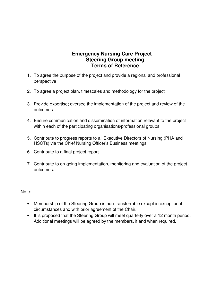#### **Emergency Nursing Care Project Steering Group meeting Terms of Reference**

- 1. To agree the purpose of the project and provide a regional and professional perspective
- 2. To agree a project plan, timescales and methodology for the project
- 3. Provide expertise; oversee the implementation of the project and review of the outcomes
- 4. Ensure communication and dissemination of information relevant to the project within each of the participating organisations/professional groups.
- 5. Contribute to progress reports to all Executive Directors of Nursing (PHA and HSCTs) via the Chief Nursing Officer's Business meetings
- 6. Contribute to a final project report
- 7. Contribute to on-going implementation, monitoring and evaluation of the project outcomes.

Note:

- Membership of the Steering Group is non-transferrable except in exceptional circumstances and with prior agreement of the Chair.
- It is proposed that the Steering Group will meet quarterly over a 12 month period. Additional meetings will be agreed by the members, if and when required.